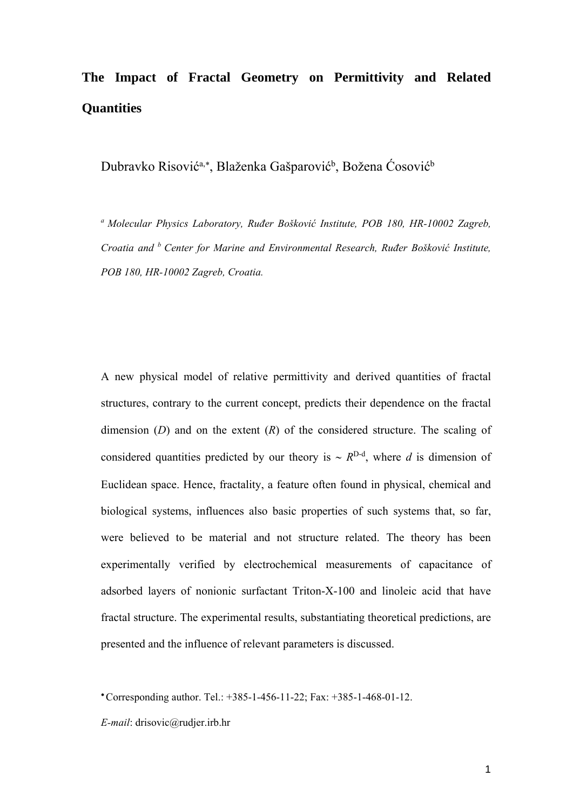# **The Impact of Fractal Geometry on Permittivity and Related Quantities**

Dubravko Risović<sup>a,\*</sup>, Blaženka Gašparović<sup>b</sup>, Božena Ćosović<sup>b</sup>

*a Molecular Physics Laboratory, Ruđer Bošković Institute, POB 180, HR-10002 Zagreb, Croatia and b Center for Marine and Environmental Research, Ruđer Bošković Institute, POB 180, HR-10002 Zagreb, Croatia.* 

A new physical model of relative permittivity and derived quantities of fractal structures, contrary to the current concept, predicts their dependence on the fractal dimension (*D*) and on the extent (*R*) of the considered structure. The scaling of considered quantities predicted by our theory is  $\sim R^{D-d}$ , where *d* is dimension of Euclidean space. Hence, fractality, a feature often found in physical, chemical and biological systems, influences also basic properties of such systems that, so far, were believed to be material and not structure related. The theory has been experimentally verified by electrochemical measurements of capacitance of adsorbed layers of nonionic surfactant Triton-X-100 and linoleic acid that have fractal structure. The experimental results, substantiating theoretical predictions, are presented and the influence of relevant parameters is discussed.

*E-mail*: drisovic@rudjer.irb.hr

Corresponding author. Tel.: +385-1-456-11-22; Fax: +385-1-468-01-12.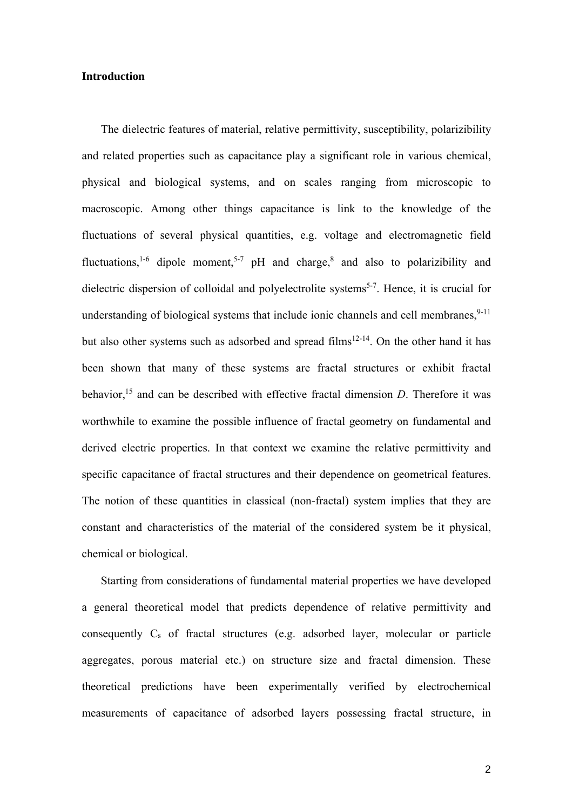### **Introduction**

The dielectric features of material, relative permittivity, susceptibility, polarizibility and related properties such as capacitance play a significant role in various chemical, physical and biological systems, and on scales ranging from microscopic to macroscopic. Among other things capacitance is link to the knowledge of the fluctuations of several physical quantities, e.g. voltage and electromagnetic field fluctuations,<sup>1-6</sup> dipole moment,<sup>5-7</sup> pH and charge,<sup>8</sup> and also to polarizibility and dielectric dispersion of colloidal and polyelectrolite systems<sup>5-7</sup>. Hence, it is crucial for understanding of biological systems that include ionic channels and cell membranes.<sup>9-11</sup> but also other systems such as adsorbed and spread films<sup>12-14</sup>. On the other hand it has been shown that many of these systems are fractal structures or exhibit fractal behavior,<sup>15</sup> and can be described with effective fractal dimension *D*. Therefore it was worthwhile to examine the possible influence of fractal geometry on fundamental and derived electric properties. In that context we examine the relative permittivity and specific capacitance of fractal structures and their dependence on geometrical features. The notion of these quantities in classical (non-fractal) system implies that they are constant and characteristics of the material of the considered system be it physical, chemical or biological.

Starting from considerations of fundamental material properties we have developed a general theoretical model that predicts dependence of relative permittivity and consequently  $C_s$  of fractal structures (e.g. adsorbed layer, molecular or particle aggregates, porous material etc.) on structure size and fractal dimension. These theoretical predictions have been experimentally verified by electrochemical measurements of capacitance of adsorbed layers possessing fractal structure, in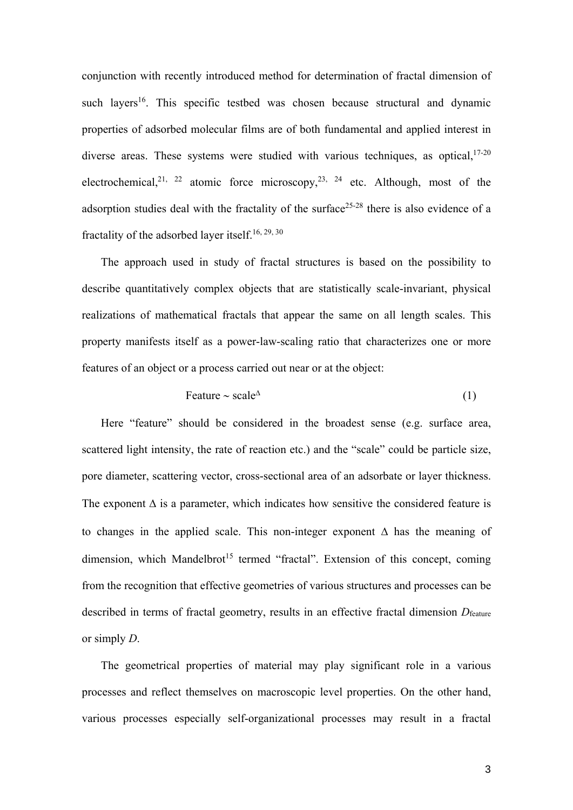conjunction with recently introduced method for determination of fractal dimension of such layers<sup>16</sup>. This specific testbed was chosen because structural and dynamic properties of adsorbed molecular films are of both fundamental and applied interest in diverse areas. These systems were studied with various techniques, as optical,  $17-20$ electrochemical,<sup>21, 22</sup> atomic force microscopy,<sup>23, 24</sup> etc. Although, most of the adsorption studies deal with the fractality of the surface<sup>25-28</sup> there is also evidence of a fractality of the adsorbed layer itself.<sup>16, 29, 30</sup>

The approach used in study of fractal structures is based on the possibility to describe quantitatively complex objects that are statistically scale-invariant, physical realizations of mathematical fractals that appear the same on all length scales. This property manifests itself as a power-law-scaling ratio that characterizes one or more features of an object or a process carried out near or at the object:

$$
Feature \sim scale^{\Delta} \tag{1}
$$

Here "feature" should be considered in the broadest sense (e.g. surface area, scattered light intensity, the rate of reaction etc.) and the "scale" could be particle size, pore diameter, scattering vector, cross-sectional area of an adsorbate or layer thickness. The exponent  $\Delta$  is a parameter, which indicates how sensitive the considered feature is to changes in the applied scale. This non-integer exponent  $\Delta$  has the meaning of  $dimension$ , which Mandelbrot<sup>15</sup> termed "fractal". Extension of this concept, coming from the recognition that effective geometries of various structures and processes can be described in terms of fractal geometry, results in an effective fractal dimension  $D_{\text{feature}}$ or simply *D*.

The geometrical properties of material may play significant role in a various processes and reflect themselves on macroscopic level properties. On the other hand, various processes especially self-organizational processes may result in a fractal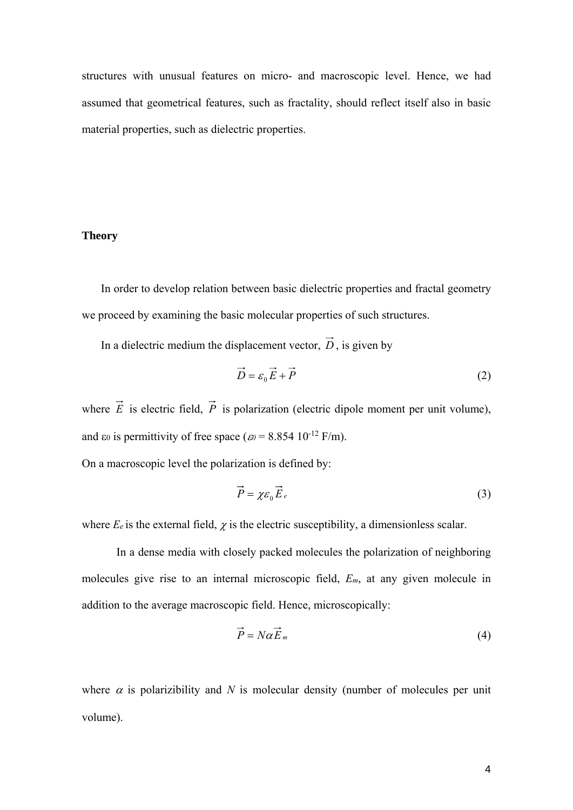structures with unusual features on micro- and macroscopic level. Hence, we had assumed that geometrical features, such as fractality, should reflect itself also in basic material properties, such as dielectric properties.

# **Theory**

In order to develop relation between basic dielectric properties and fractal geometry we proceed by examining the basic molecular properties of such structures.

In a dielectric medium the displacement vector,  $\vec{D}$ , is given by

$$
\vec{D} = \varepsilon_0 \vec{E} + \vec{P}
$$
 (2)

where  $\vec{E}$  is electric field,  $\vec{P}$  is polarization (electric dipole moment per unit volume), and  $\varepsilon_0$  is permittivity of free space ( $\varepsilon_0$  = 8.854 10<sup>-12</sup> F/m).

On a macroscopic level the polarization is defined by:

$$
\vec{P} = \chi \varepsilon_0 \vec{E}_e \tag{3}
$$

where  $E_e$  is the external field,  $\chi$  is the electric susceptibility, a dimensionless scalar.

In a dense media with closely packed molecules the polarization of neighboring molecules give rise to an internal microscopic field, *Em*, at any given molecule in addition to the average macroscopic field. Hence, microscopically:

$$
\vec{P} = N\alpha \vec{E}_m \tag{4}
$$

where  $\alpha$  is polarizibility and  $N$  is molecular density (number of molecules per unit volume).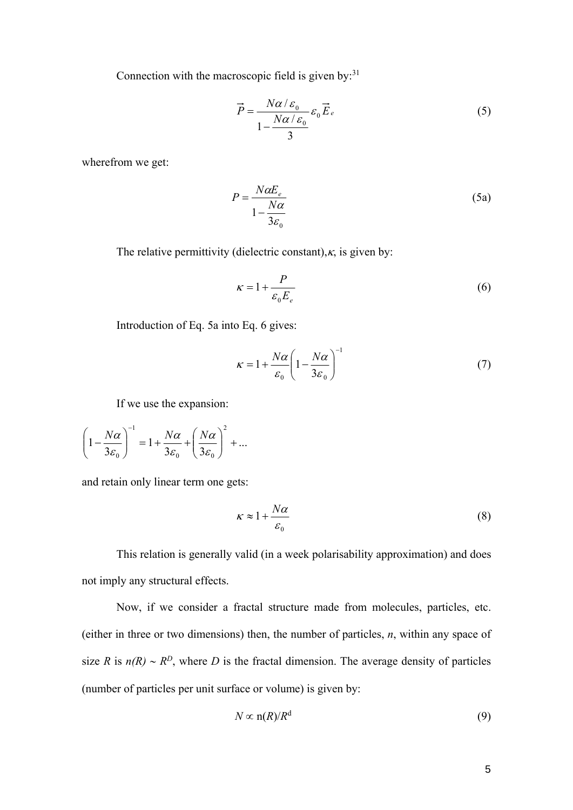Connection with the macroscopic field is given by: $31$ 

$$
\vec{P} = \frac{N\alpha/\varepsilon_0}{1 - \frac{N\alpha/\varepsilon_0}{3}} \varepsilon_0 \vec{E}_e
$$
 (5)

wherefrom we get:

$$
P = \frac{N\alpha E_e}{1 - \frac{N\alpha}{3\varepsilon_0}}
$$
 (5a)

The relative permittivity (dielectric constant), $\kappa$ , is given by:

$$
\kappa = 1 + \frac{P}{\varepsilon_0 E_e} \tag{6}
$$

Introduction of Eq. 5a into Eq. 6 gives:

$$
\kappa = 1 + \frac{N\alpha}{\varepsilon_0} \left( 1 - \frac{N\alpha}{3\varepsilon_0} \right)^{-1} \tag{7}
$$

If we use the expansion:

$$
\left(1 - \frac{N\alpha}{3\varepsilon_0}\right)^{-1} = 1 + \frac{N\alpha}{3\varepsilon_0} + \left(\frac{N\alpha}{3\varepsilon_0}\right)^2 + \dots
$$

and retain only linear term one gets:

$$
\kappa \approx 1 + \frac{N\alpha}{\varepsilon_0} \tag{8}
$$

This relation is generally valid (in a week polarisability approximation) and does not imply any structural effects.

Now, if we consider a fractal structure made from molecules, particles, etc. (either in three or two dimensions) then, the number of particles, *n*, within any space of size *R* is  $n(R) \sim R^D$ , where *D* is the fractal dimension. The average density of particles (number of particles per unit surface or volume) is given by:

$$
N \propto \mathbf{n}(R)/R^d \tag{9}
$$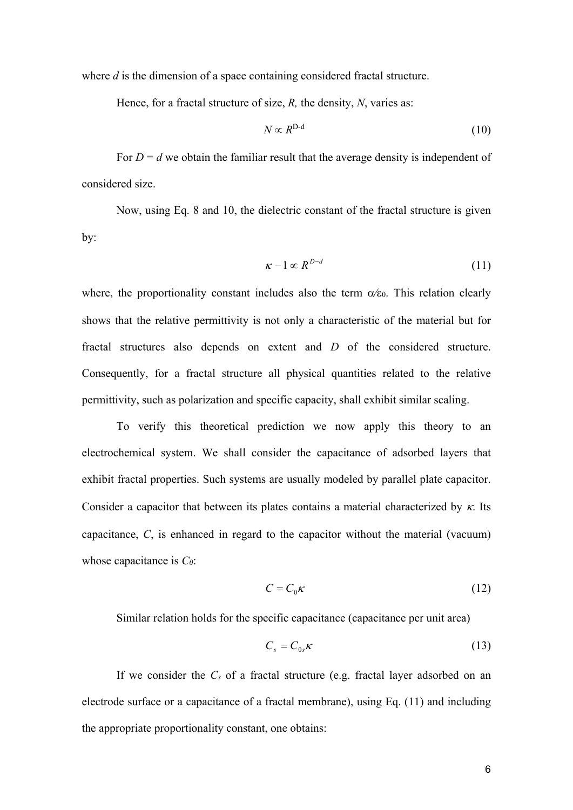where *d* is the dimension of a space containing considered fractal structure.

Hence, for a fractal structure of size, *R,* the density, *N*, varies as:

$$
N \propto R^{\text{D-d}} \tag{10}
$$

For  $D = d$  we obtain the familiar result that the average density is independent of considered size.

Now, using Eq. 8 and 10, the dielectric constant of the fractal structure is given by:

$$
\kappa - 1 \propto R^{D-d} \tag{11}
$$

where, the proportionality constant includes also the term  $\alpha \epsilon_0$ . This relation clearly shows that the relative permittivity is not only a characteristic of the material but for fractal structures also depends on extent and *D* of the considered structure. Consequently, for a fractal structure all physical quantities related to the relative permittivity, such as polarization and specific capacity, shall exhibit similar scaling.

To verify this theoretical prediction we now apply this theory to an electrochemical system. We shall consider the capacitance of adsorbed layers that exhibit fractal properties. Such systems are usually modeled by parallel plate capacitor. Consider a capacitor that between its plates contains a material characterized by  $\kappa$ . Its capacitance, *C*, is enhanced in regard to the capacitor without the material (vacuum) whose capacitance is *C0*:

$$
C = C_0 \kappa \tag{12}
$$

Similar relation holds for the specific capacitance (capacitance per unit area)

$$
C_s = C_{0s} \kappa \tag{13}
$$

If we consider the *Cs* of a fractal structure (e.g. fractal layer adsorbed on an electrode surface or a capacitance of a fractal membrane), using Eq. (11) and including the appropriate proportionality constant, one obtains: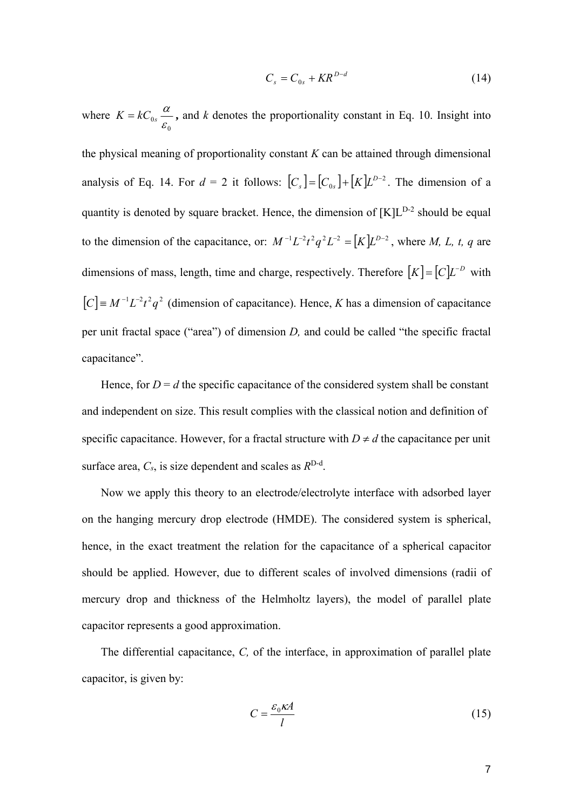$$
C_s = C_{0s} + KR^{D-d} \tag{14}
$$

where 0  $\begin{smallmatrix} 0s & \ & \mathcal{E} \end{smallmatrix}$  $K = kC_0 \frac{\alpha}{\epsilon}$ , and *k* denotes the proportionality constant in Eq. 10. Insight into

the physical meaning of proportionality constant *K* can be attained through dimensional analysis of Eq. 14. For  $d = 2$  it follows:  $[C_s] = [C_{0s}] + [K]L^{D-2}$ . The dimension of a quantity is denoted by square bracket. Hence, the dimension of  $[K]L^{D-2}$  should be equal to the dimension of the capacitance, or:  $M^{-1}L^{-2}t^2q^2L^{-2} = [K]L^{D-2}$ , where *M*, *L*, *t*, *q* are dimensions of mass, length, time and charge, respectively. Therefore  $[K] = [C]L^{-D}$  with  $[C] = M^{-1}L^{-2}t^2q^2$  (dimension of capacitance). Hence, *K* has a dimension of capacitance per unit fractal space ("area") of dimension *D,* and could be called "the specific fractal capacitance".

Hence, for  $D = d$  the specific capacitance of the considered system shall be constant and independent on size. This result complies with the classical notion and definition of specific capacitance. However, for a fractal structure with  $D \neq d$  the capacitance per unit surface area,  $C_s$ , is size dependent and scales as  $R^{D-d}$ .

Now we apply this theory to an electrode/electrolyte interface with adsorbed layer on the hanging mercury drop electrode (HMDE). The considered system is spherical, hence, in the exact treatment the relation for the capacitance of a spherical capacitor should be applied. However, due to different scales of involved dimensions (radii of mercury drop and thickness of the Helmholtz layers), the model of parallel plate capacitor represents a good approximation.

The differential capacitance, *C,* of the interface, in approximation of parallel plate capacitor, is given by:

$$
C = \frac{\varepsilon_0 \kappa A}{l} \tag{15}
$$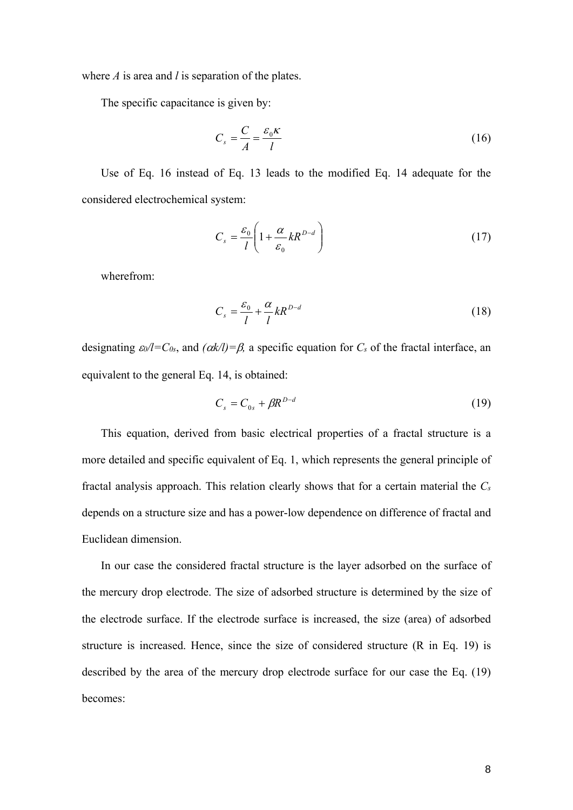where *A* is area and *l* is separation of the plates.

The specific capacitance is given by:

$$
C_s = \frac{C}{A} = \frac{\varepsilon_0 \kappa}{l} \tag{16}
$$

Use of Eq. 16 instead of Eq. 13 leads to the modified Eq. 14 adequate for the considered electrochemical system:

$$
C_s = \frac{\varepsilon_0}{l} \left( 1 + \frac{\alpha}{\varepsilon_0} k R^{D-d} \right) \tag{17}
$$

wherefrom:

$$
C_s = \frac{\varepsilon_0}{l} + \frac{\alpha}{l} kR^{D-d}
$$
\n(18)

designating  $\epsilon_0/1 = C_0$ , and  $(\alpha k/1) = \beta$ , a specific equation for  $C_s$  of the fractal interface, an equivalent to the general Eq. 14, is obtained:

$$
C_s = C_{0s} + \beta R^{D-d} \tag{19}
$$

This equation, derived from basic electrical properties of a fractal structure is a more detailed and specific equivalent of Eq. 1, which represents the general principle of fractal analysis approach. This relation clearly shows that for a certain material the *Cs* depends on a structure size and has a power-low dependence on difference of fractal and Euclidean dimension.

In our case the considered fractal structure is the layer adsorbed on the surface of the mercury drop electrode. The size of adsorbed structure is determined by the size of the electrode surface. If the electrode surface is increased, the size (area) of adsorbed structure is increased. Hence, since the size of considered structure (R in Eq. 19) is described by the area of the mercury drop electrode surface for our case the Eq. (19) becomes: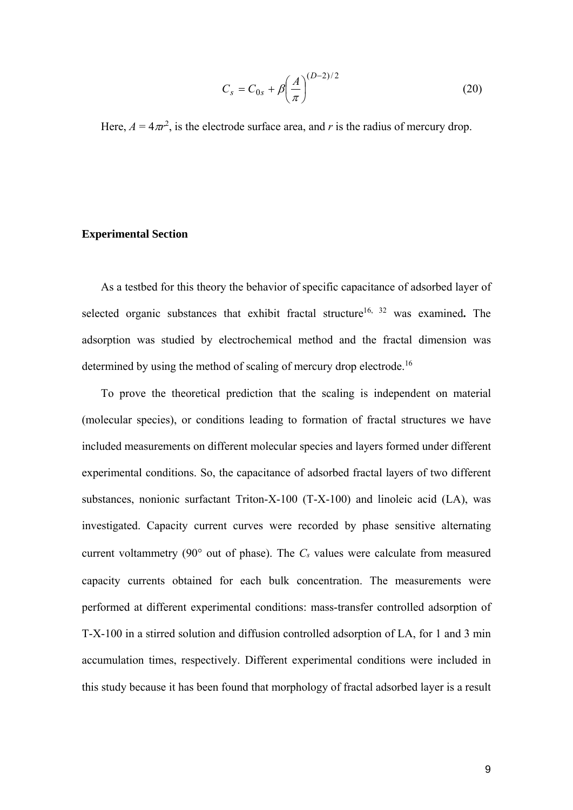$$
C_s = C_{0s} + \beta \left(\frac{A}{\pi}\right)^{(D-2)/2} \tag{20}
$$

Here,  $A = 4\pi r^2$ , is the electrode surface area, and *r* is the radius of mercury drop.

# **Experimental Section**

As a testbed for this theory the behavior of specific capacitance of adsorbed layer of selected organic substances that exhibit fractal structure<sup>16, 32</sup> was examined. The adsorption was studied by electrochemical method and the fractal dimension was determined by using the method of scaling of mercury drop electrode.<sup>16</sup>

To prove the theoretical prediction that the scaling is independent on material (molecular species), or conditions leading to formation of fractal structures we have included measurements on different molecular species and layers formed under different experimental conditions. So, the capacitance of adsorbed fractal layers of two different substances, nonionic surfactant Triton-X-100 (T-X-100) and linoleic acid (LA), was investigated. Capacity current curves were recorded by phase sensitive alternating current voltammetry (90 $^{\circ}$  out of phase). The  $C_s$  values were calculate from measured capacity currents obtained for each bulk concentration. The measurements were performed at different experimental conditions: mass-transfer controlled adsorption of T-X-100 in a stirred solution and diffusion controlled adsorption of LA, for 1 and 3 min accumulation times, respectively. Different experimental conditions were included in this study because it has been found that morphology of fractal adsorbed layer is a result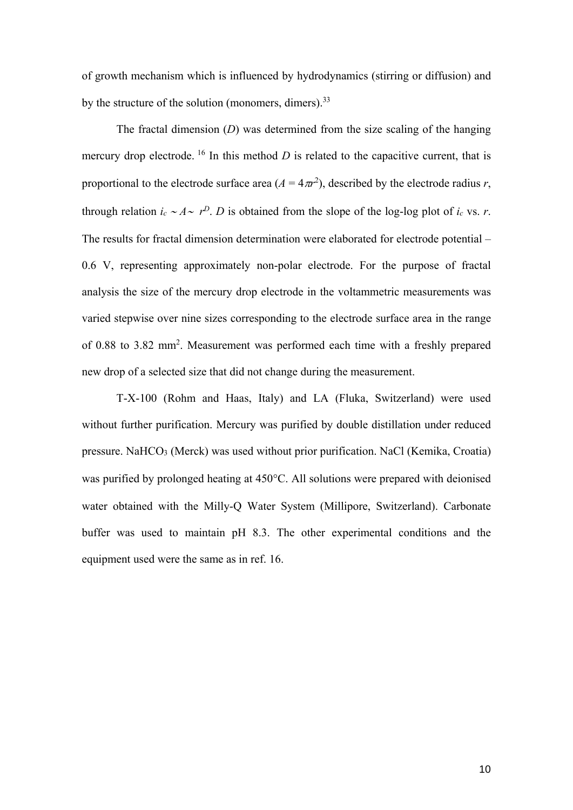of growth mechanism which is influenced by hydrodynamics (stirring or diffusion) and by the structure of the solution (monomers, dimers).  $33$ 

The fractal dimension (*D*) was determined from the size scaling of the hanging mercury drop electrode. <sup>16</sup> In this method *D* is related to the capacitive current, that is proportional to the electrode surface area  $(A = 4\pi r^2)$ , described by the electrode radius *r*, through relation  $i_c \sim A \sim r^D$ . *D* is obtained from the slope of the log-log plot of  $i_c$  vs. *r*. The results for fractal dimension determination were elaborated for electrode potential – 0.6 V, representing approximately non-polar electrode. For the purpose of fractal analysis the size of the mercury drop electrode in the voltammetric measurements was varied stepwise over nine sizes corresponding to the electrode surface area in the range of 0.88 to 3.82 mm2 . Measurement was performed each time with a freshly prepared new drop of a selected size that did not change during the measurement.

T-X-100 (Rohm and Haas, Italy) and LA (Fluka, Switzerland) were used without further purification. Mercury was purified by double distillation under reduced pressure. NaHCO3 (Merck) was used without prior purification. NaCl (Kemika, Croatia) was purified by prolonged heating at 450°C. All solutions were prepared with deionised water obtained with the Milly-Q Water System (Millipore, Switzerland). Carbonate buffer was used to maintain pH 8.3. The other experimental conditions and the equipment used were the same as in ref. 16.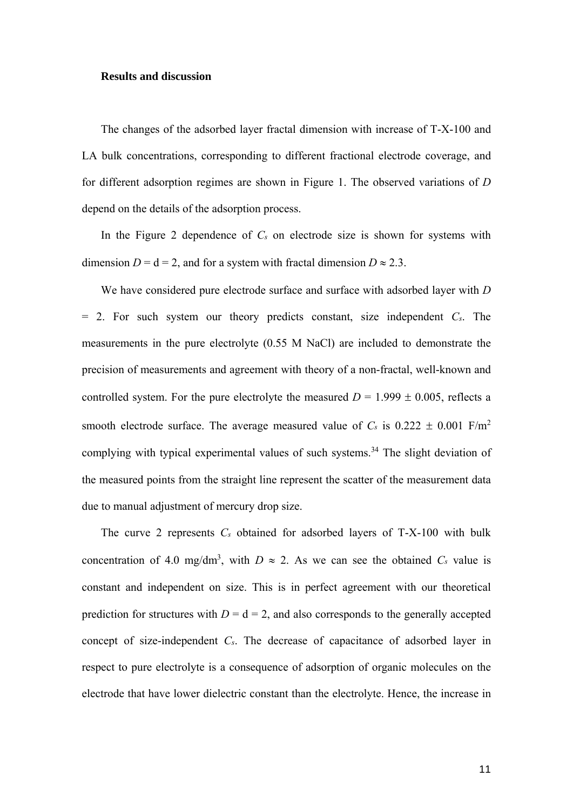#### **Results and discussion**

The changes of the adsorbed layer fractal dimension with increase of T-X-100 and LA bulk concentrations, corresponding to different fractional electrode coverage, and for different adsorption regimes are shown in Figure 1. The observed variations of *D* depend on the details of the adsorption process.

In the Figure 2 dependence of *Cs* on electrode size is shown for systems with dimension  $D = d = 2$ , and for a system with fractal dimension  $D \approx 2.3$ .

We have considered pure electrode surface and surface with adsorbed layer with *D*  = 2. For such system our theory predicts constant, size independent *Cs*. The measurements in the pure electrolyte (0.55 M NaCl) are included to demonstrate the precision of measurements and agreement with theory of a non-fractal, well-known and controlled system. For the pure electrolyte the measured  $D = 1.999 \pm 0.005$ , reflects a smooth electrode surface. The average measured value of  $C_s$  is  $0.222 \pm 0.001$  F/m<sup>2</sup> complying with typical experimental values of such systems.<sup>34</sup> The slight deviation of the measured points from the straight line represent the scatter of the measurement data due to manual adjustment of mercury drop size.

The curve 2 represents *Cs* obtained for adsorbed layers of T-X-100 with bulk concentration of 4.0 mg/dm<sup>3</sup>, with  $D \approx 2$ . As we can see the obtained  $C_s$  value is constant and independent on size. This is in perfect agreement with our theoretical prediction for structures with  $D = d = 2$ , and also corresponds to the generally accepted concept of size-independent *Cs*. The decrease of capacitance of adsorbed layer in respect to pure electrolyte is a consequence of adsorption of organic molecules on the electrode that have lower dielectric constant than the electrolyte. Hence, the increase in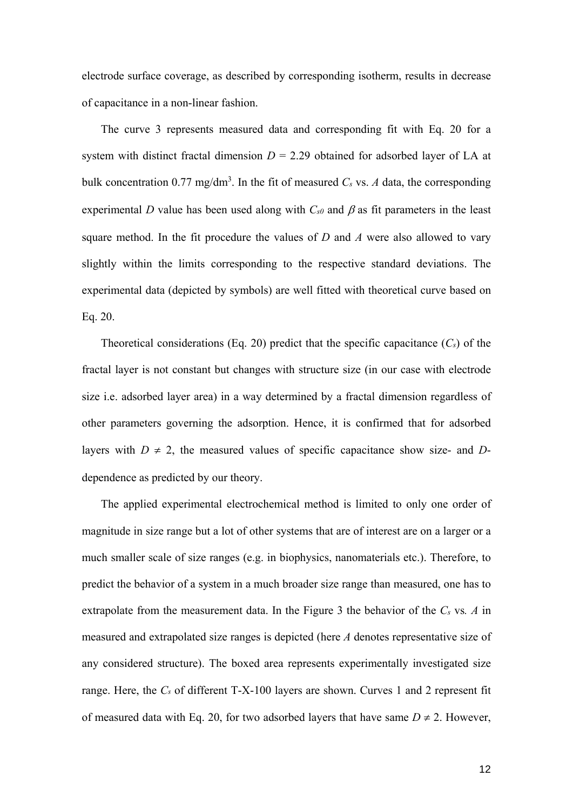electrode surface coverage, as described by corresponding isotherm, results in decrease of capacitance in a non-linear fashion.

The curve 3 represents measured data and corresponding fit with Eq. 20 for a system with distinct fractal dimension  $D = 2.29$  obtained for adsorbed layer of LA at bulk concentration  $0.77 \text{ mg/dm}^3$ . In the fit of measured *Cs* vs. *A* data, the corresponding experimental *D* value has been used along with  $C_{s0}$  and  $\beta$  as fit parameters in the least square method. In the fit procedure the values of *D* and *A* were also allowed to vary slightly within the limits corresponding to the respective standard deviations. The experimental data (depicted by symbols) are well fitted with theoretical curve based on Eq. 20.

Theoretical considerations (Eq. 20) predict that the specific capacitance (*Cs*) of the fractal layer is not constant but changes with structure size (in our case with electrode size i.e. adsorbed layer area) in a way determined by a fractal dimension regardless of other parameters governing the adsorption. Hence, it is confirmed that for adsorbed layers with  $D \neq 2$ , the measured values of specific capacitance show size- and *D*dependence as predicted by our theory.

The applied experimental electrochemical method is limited to only one order of magnitude in size range but a lot of other systems that are of interest are on a larger or a much smaller scale of size ranges (e.g. in biophysics, nanomaterials etc.). Therefore, to predict the behavior of a system in a much broader size range than measured, one has to extrapolate from the measurement data. In the Figure 3 the behavior of the *Cs* vs*. A* in measured and extrapolated size ranges is depicted (here *A* denotes representative size of any considered structure). The boxed area represents experimentally investigated size range. Here, the *Cs* of different T-X-100 layers are shown. Curves 1 and 2 represent fit of measured data with Eq. 20, for two adsorbed layers that have same  $D \neq 2$ . However,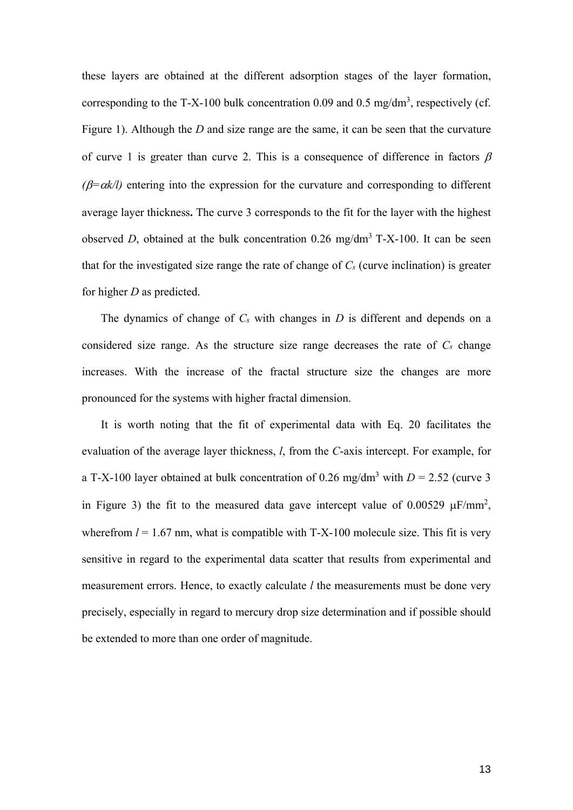these layers are obtained at the different adsorption stages of the layer formation, corresponding to the T-X-100 bulk concentration 0.09 and 0.5 mg/dm<sup>3</sup>, respectively (cf. Figure 1). Although the *D* and size range are the same, it can be seen that the curvature of curve 1 is greater than curve 2. This is a consequence of difference in factors  $\beta$  $(\beta = \alpha k/l)$  entering into the expression for the curvature and corresponding to different average layer thickness**.** The curve 3 corresponds to the fit for the layer with the highest observed *D*, obtained at the bulk concentration  $0.26 \text{ mg/dm}^3$  T-X-100. It can be seen that for the investigated size range the rate of change of  $C_s$  (curve inclination) is greater for higher *D* as predicted.

The dynamics of change of *Cs* with changes in *D* is different and depends on a considered size range. As the structure size range decreases the rate of  $C_s$  change increases. With the increase of the fractal structure size the changes are more pronounced for the systems with higher fractal dimension.

It is worth noting that the fit of experimental data with Eq. 20 facilitates the evaluation of the average layer thickness, *l*, from the *C*-axis intercept. For example, for a T-X-100 layer obtained at bulk concentration of 0.26 mg/dm<sup>3</sup> with  $D = 2.52$  (curve 3 in Figure 3) the fit to the measured data gave intercept value of  $0.00529 \mu$ F/mm<sup>2</sup>, wherefrom  $l = 1.67$  nm, what is compatible with  $T-X-100$  molecule size. This fit is very sensitive in regard to the experimental data scatter that results from experimental and measurement errors. Hence, to exactly calculate *l* the measurements must be done very precisely, especially in regard to mercury drop size determination and if possible should be extended to more than one order of magnitude.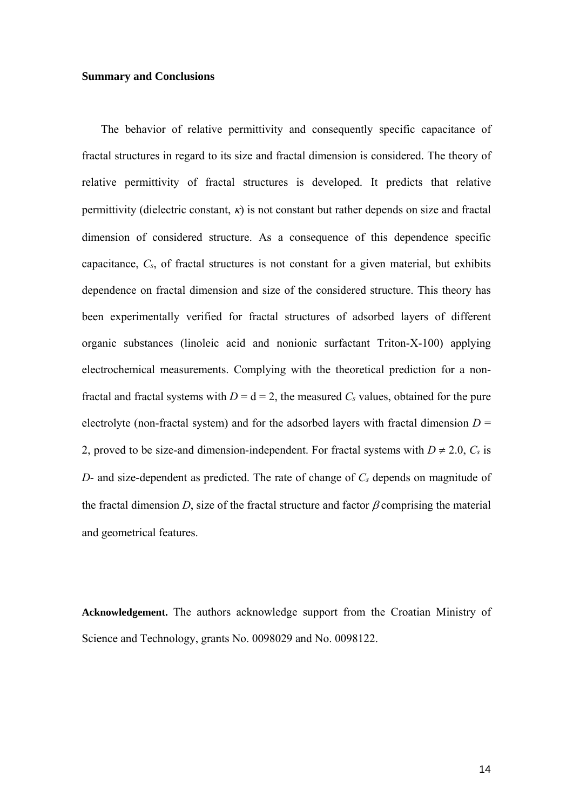## **Summary and Conclusions**

The behavior of relative permittivity and consequently specific capacitance of fractal structures in regard to its size and fractal dimension is considered. The theory of relative permittivity of fractal structures is developed. It predicts that relative permittivity (dielectric constant,  $\kappa$ ) is not constant but rather depends on size and fractal dimension of considered structure. As a consequence of this dependence specific capacitance, *Cs*, of fractal structures is not constant for a given material, but exhibits dependence on fractal dimension and size of the considered structure. This theory has been experimentally verified for fractal structures of adsorbed layers of different organic substances (linoleic acid and nonionic surfactant Triton-X-100) applying electrochemical measurements. Complying with the theoretical prediction for a nonfractal and fractal systems with  $D = d = 2$ , the measured  $C_s$  values, obtained for the pure electrolyte (non-fractal system) and for the adsorbed layers with fractal dimension  $D =$ 2, proved to be size-and dimension-independent. For fractal systems with  $D \neq 2.0$ ,  $C_s$  is *D*- and size-dependent as predicted. The rate of change of *Cs* depends on magnitude of the fractal dimension D, size of the fractal structure and factor  $\beta$  comprising the material and geometrical features.

**Acknowledgement.** The authors acknowledge support from the Croatian Ministry of Science and Technology, grants No. 0098029 and No. 0098122.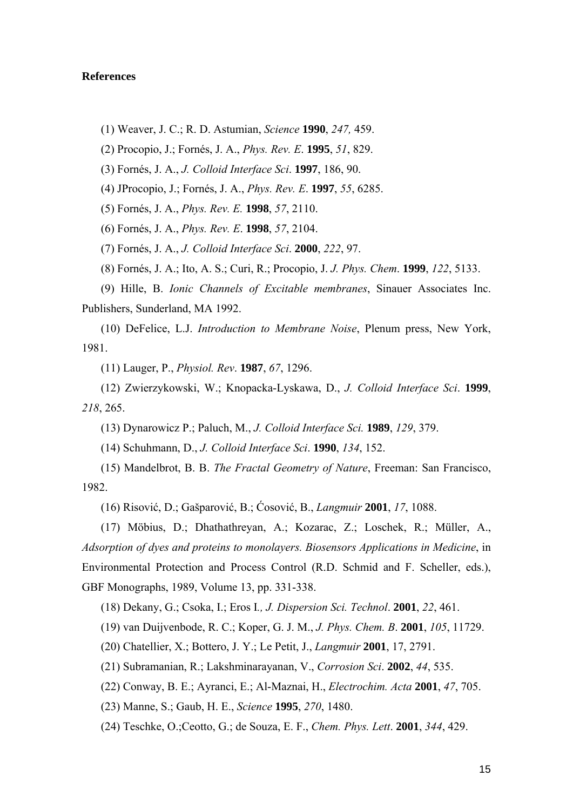# **References**

(1) Weaver, J. C.; R. D. Astumian, *Science* **1990**, *247,* 459.

(2) Procopio, J.; Fornés, J. A., *Phys. Rev. E*. **1995**, *51*, 829.

(3) Fornés, J. A., *J. Colloid Interface Sci*. **1997**, 186, 90.

(4) JProcopio, J.; Fornés, J. A., *Phys. Rev. E*. **1997**, *55*, 6285.

(5) Fornés, J. A., *Phys. Rev. E.* **1998**, *57*, 2110.

(6) Fornés, J. A., *Phys. Rev. E*. **1998**, *57*, 2104.

(7) Fornés, J. A., *J. Colloid Interface Sci*. **2000**, *222*, 97.

(8) Fornés, J. A.; Ito, A. S.; Curi, R.; Procopio, J. *J. Phys. Chem*. **1999**, *122*, 5133.

(9) Hille, B. *Ionic Channels of Excitable membranes*, Sinauer Associates Inc. Publishers, Sunderland, MA 1992.

(10) DeFelice, L.J. *Introduction to Membrane Noise*, Plenum press, New York, 1981.

(11) Lauger, P., *Physiol. Rev*. **1987**, *67*, 1296.

(12) Zwierzykowski, W.; Knopacka-Lyskawa, D., *J. Colloid Interface Sci*. **1999**, *218*, 265.

(13) Dynarowicz P.; Paluch, M., *J. Colloid Interface Sci.* **1989**, *129*, 379.

(14) Schuhmann, D., *J. Colloid Interface Sci*. **1990**, *134*, 152.

(15) Mandelbrot, B. B. *The Fractal Geometry of Nature*, Freeman: San Francisco, 1982.

(16) Risović, D.; Gašparović, B.; Ćosović, B., *Langmuir* **2001**, *17*, 1088.

(17) Möbius, D.; Dhathathreyan, A.; Kozarac, Z.; Loschek, R.; Müller, A., *Adsorption of dyes and proteins to monolayers. Biosensors Applications in Medicine*, in Environmental Protection and Process Control (R.D. Schmid and F. Scheller, eds.), GBF Monographs, 1989, Volume 13, pp. 331-338.

(18) Dekany, G.; Csoka, I.; Eros I*., J. Dispersion Sci. Technol*. **2001**, *22*, 461.

(19) van Duijvenbode, R. C.; Koper, G. J. M., *J. Phys. Chem. B*. **2001**, *105*, 11729.

(20) Chatellier, X.; Bottero, J. Y.; Le Petit, J., *Langmuir* **2001**, 17, 2791.

(21) Subramanian, R.; Lakshminarayanan, V., *Corrosion Sci*. **2002**, *44*, 535.

(22) Conway, B. E.; Ayranci, E.; Al-Maznai, H., *Electrochim. Acta* **2001**, *47*, 705.

(23) Manne, S.; Gaub, H. E., *Science* **1995**, *270*, 1480.

(24) Teschke, O.;Ceotto, G.; de Souza, E. F., *Chem. Phys. Lett*. **2001**, *344*, 429.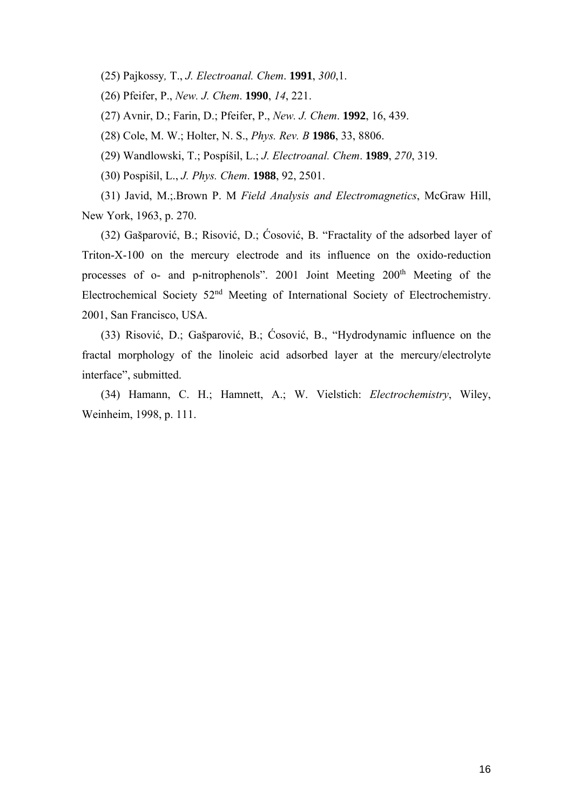(25) Pajkossy*,* T., *J. Electroanal. Chem*. **1991**, *300*,1.

(26) Pfeifer, P., *New. J. Chem*. **1990**, *14*, 221.

(27) Avnir, D.; Farin, D.; Pfeifer, P., *New. J. Chem*. **1992**, 16, 439.

(28) Cole, M. W.; Holter, N. S., *Phys. Rev. B* **1986**, 33, 8806.

(29) Wandlowski, T.; Pospíšil, L.; *J. Electroanal. Chem*. **1989**, *270*, 319.

(30) Pospišil, L., *J. Phys. Chem*. **1988**, 92, 2501.

(31) Javid, M.;.Brown P. M *Field Analysis and Electromagnetics*, McGraw Hill, New York, 1963, p. 270.

(32) Gašparović, B.; Risović, D.; Ćosović, B. "Fractality of the adsorbed layer of Triton-X-100 on the mercury electrode and its influence on the oxido-reduction processes of o- and p-nitrophenols". 2001 Joint Meeting 200<sup>th</sup> Meeting of the Electrochemical Society 52nd Meeting of International Society of Electrochemistry. 2001, San Francisco, USA.

(33) Risović, D.; Gašparović, B.; Ćosović, B., "Hydrodynamic influence on the fractal morphology of the linoleic acid adsorbed layer at the mercury/electrolyte interface", submitted.

(34) Hamann, C. H.; Hamnett, A.; W. Vielstich: *Electrochemistry*, Wiley, Weinheim, 1998, p. 111.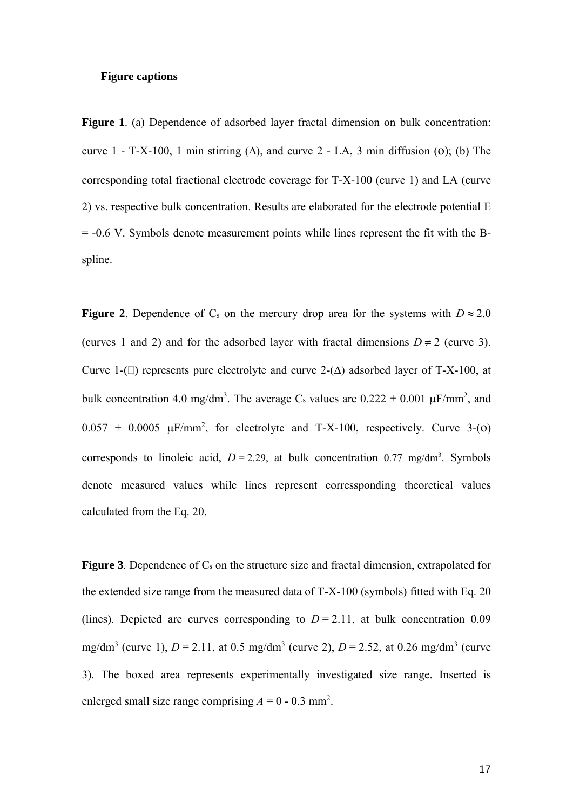## **Figure captions**

**Figure 1**. (a) Dependence of adsorbed layer fractal dimension on bulk concentration: curve 1 - T-X-100, 1 min stirring  $(\Delta)$ , and curve 2 - LA, 3 min diffusion (0); (b) The corresponding total fractional electrode coverage for T-X-100 (curve 1) and LA (curve 2) vs. respective bulk concentration. Results are elaborated for the electrode potential E = -0.6 V. Symbols denote measurement points while lines represent the fit with the Bspline.

**Figure 2**. Dependence of C<sub>s</sub> on the mercury drop area for the systems with  $D \approx 2.0$ (curves 1 and 2) and for the adsorbed layer with fractal dimensions  $D \neq 2$  (curve 3). Curve 1-( $\Box$ ) represents pure electrolyte and curve 2-( $\Delta$ ) adsorbed layer of T-X-100, at bulk concentration 4.0 mg/dm<sup>3</sup>. The average C<sub>s</sub> values are  $0.222 \pm 0.001 \mu$ F/mm<sup>2</sup>, and  $0.057 \pm 0.0005 \mu$ F/mm<sup>2</sup>, for electrolyte and T-X-100, respectively. Curve 3-(0) corresponds to linoleic acid,  $D = 2.29$ , at bulk concentration 0.77 mg/dm<sup>3</sup>. Symbols denote measured values while lines represent corressponding theoretical values calculated from the Eq. 20.

**Figure 3**. Dependence of C<sub>s</sub> on the structure size and fractal dimension, extrapolated for the extended size range from the measured data of T-X-100 (symbols) fitted with Eq. 20 (lines). Depicted are curves corresponding to  $D = 2.11$ , at bulk concentration 0.09 mg/dm<sup>3</sup> (curve 1),  $D = 2.11$ , at 0.5 mg/dm<sup>3</sup> (curve 2),  $D = 2.52$ , at 0.26 mg/dm<sup>3</sup> (curve 3). The boxed area represents experimentally investigated size range. Inserted is enlerged small size range comprising  $A = 0 - 0.3$  mm<sup>2</sup>.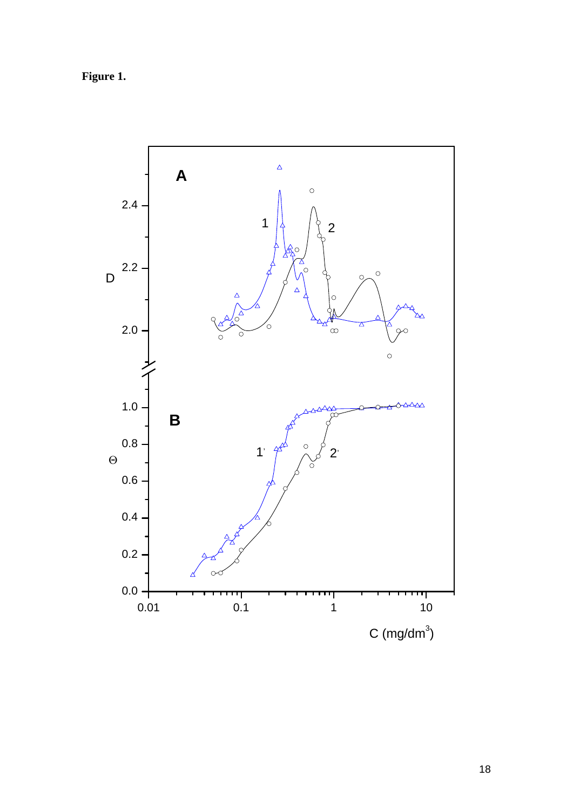**Figure 1.** 

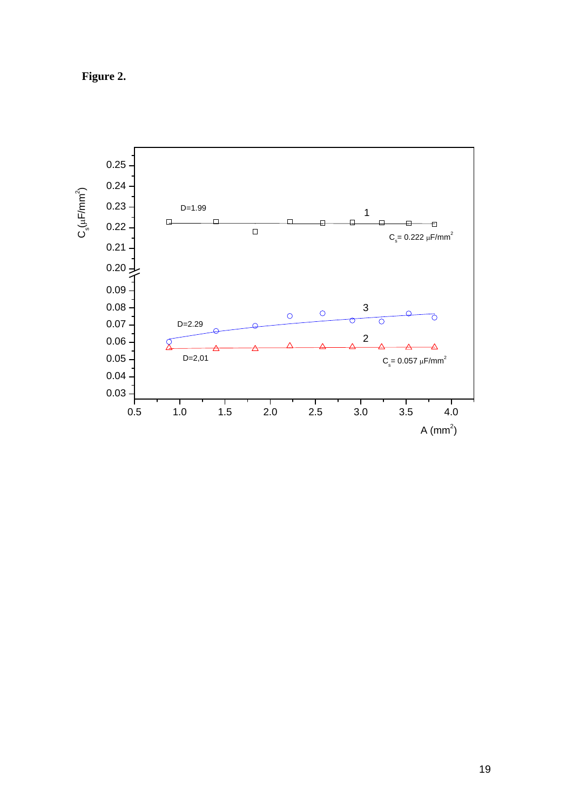**Figure 2.**